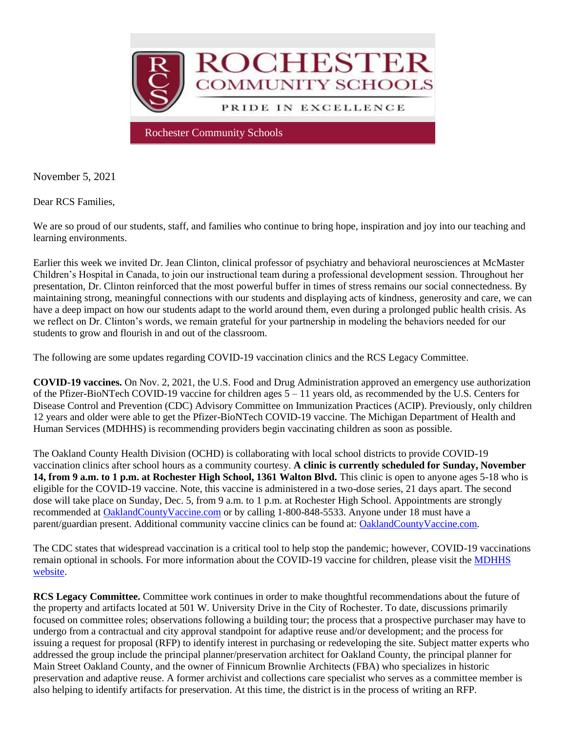

November 5, 2021

Dear RCS Families,

We are so proud of our students, staff, and families who continue to bring hope, inspiration and joy into our teaching and learning environments.

Earlier this week we invited Dr. Jean Clinton, clinical professor of psychiatry and behavioral neurosciences at McMaster Children's Hospital in Canada, to join our instructional team during a professional development session. Throughout her presentation, Dr. Clinton reinforced that the most powerful buffer in times of stress remains our social connectedness. By maintaining strong, meaningful connections with our students and displaying acts of kindness, generosity and care, we can have a deep impact on how our students adapt to the world around them, even during a prolonged public health crisis. As we reflect on Dr. Clinton's words, we remain grateful for your partnership in modeling the behaviors needed for our students to grow and flourish in and out of the classroom.

The following are some updates regarding COVID-19 vaccination clinics and the RCS Legacy Committee.

**COVID-19 vaccines.** On Nov. 2, 2021, the U.S. Food and Drug Administration approved an emergency use authorization of the Pfizer-BioNTech COVID-19 vaccine for children ages  $5 - 11$  years old, as recommended by the U.S. Centers for Disease Control and Prevention (CDC) Advisory Committee on Immunization Practices (ACIP). Previously, only children 12 years and older were able to get the Pfizer-BioNTech COVID-19 vaccine. The Michigan Department of Health and Human Services (MDHHS) is recommending providers begin vaccinating children as soon as possible.

The Oakland County Health Division (OCHD) is collaborating with local school districts to provide COVID-19 vaccination clinics after school hours as a community courtesy. **A clinic is currently scheduled for Sunday, November 14, from 9 a.m. to 1 p.m. at Rochester High School, 1361 Walton Blvd.** This clinic is open to anyone ages 5-18 who is eligible for the COVID-19 vaccine. Note, this vaccine is administered in a two-dose series, 21 days apart. The second dose will take place on Sunday, Dec. 5, from 9 a.m. to 1 p.m. at Rochester High School. Appointments are strongly recommended at [OaklandCountyVaccine.com](http://track.spe.schoolmessenger.com/f/a/zBbpjqubtaoKTebSocq3Fw~~/AAAAAQA~/RgRjZoP6P0QhaHR0cHM6Ly9vYWtsYW5kY291bnR5dmFjY2luZS5jb20vVwdzY2hvb2xtQgphgXpQhWE-R0uMUhtzYWhlYXJuQHJvY2hlc3Rlci5rMTIubWkudXNYBAAAAAE~) or by calling 1-800-848-5533. Anyone under 18 must have a parent/guardian present. Additional community vaccine clinics can be found at: [OaklandCountyVaccine.com.](http://track.spe.schoolmessenger.com/f/a/Et7vEUJtL5Wzl0FhzaMAXw~~/AAAAAQA~/RgRjZoP6P0Q4aHR0cHM6Ly9vYWtsYW5kY291bnR5dmFjY2luZS5jb20vYXBwb2ludG1lbnRzLyNwcm92aWRlcnNXB3NjaG9vbG1CCmGBelCFYT5HS4xSG3NhaGVhcm5Acm9jaGVzdGVyLmsxMi5taS51c1gEAAAAAQ~~)

The CDC states that widespread vaccination is a critical tool to help stop the pandemic; however, COVID-19 vaccinations remain optional in schools. For more information about the COVID-19 vaccine for children, please visit the [MDHHS](http://track.spe.schoolmessenger.com/f/a/LGZvUgKUnVKElr6y4rILkw~~/AAAAAQA~/RgRjZoP6P0RIaHR0cHM6Ly93d3cubWljaGlnYW4uZ292L2Nvcm9uYXZpcnVzLzAsOTc1Myw3LTQwNi05ODE2My01NzE4MDYtLSwwMC5odG1sVwdzY2hvb2xtQgphgXpQhWE-R0uMUhtzYWhlYXJuQHJvY2hlc3Rlci5rMTIubWkudXNYBAAAAAE~)  [website.](http://track.spe.schoolmessenger.com/f/a/LGZvUgKUnVKElr6y4rILkw~~/AAAAAQA~/RgRjZoP6P0RIaHR0cHM6Ly93d3cubWljaGlnYW4uZ292L2Nvcm9uYXZpcnVzLzAsOTc1Myw3LTQwNi05ODE2My01NzE4MDYtLSwwMC5odG1sVwdzY2hvb2xtQgphgXpQhWE-R0uMUhtzYWhlYXJuQHJvY2hlc3Rlci5rMTIubWkudXNYBAAAAAE~)

**RCS Legacy Committee.** Committee work continues in order to make thoughtful recommendations about the future of the property and artifacts located at 501 W. University Drive in the City of Rochester. To date, discussions primarily focused on committee roles; observations following a building tour; the process that a prospective purchaser may have to undergo from a contractual and city approval standpoint for adaptive reuse and/or development; and the process for issuing a request for proposal (RFP) to identify interest in purchasing or redeveloping the site. Subject matter experts who addressed the group include the principal planner/preservation architect for Oakland County, the principal planner for Main Street Oakland County, and the owner of Finnicum Brownlie Architects (FBA) who specializes in historic preservation and adaptive reuse. A former archivist and collections care specialist who serves as a committee member is also helping to identify artifacts for preservation. At this time, the district is in the process of writing an RFP.